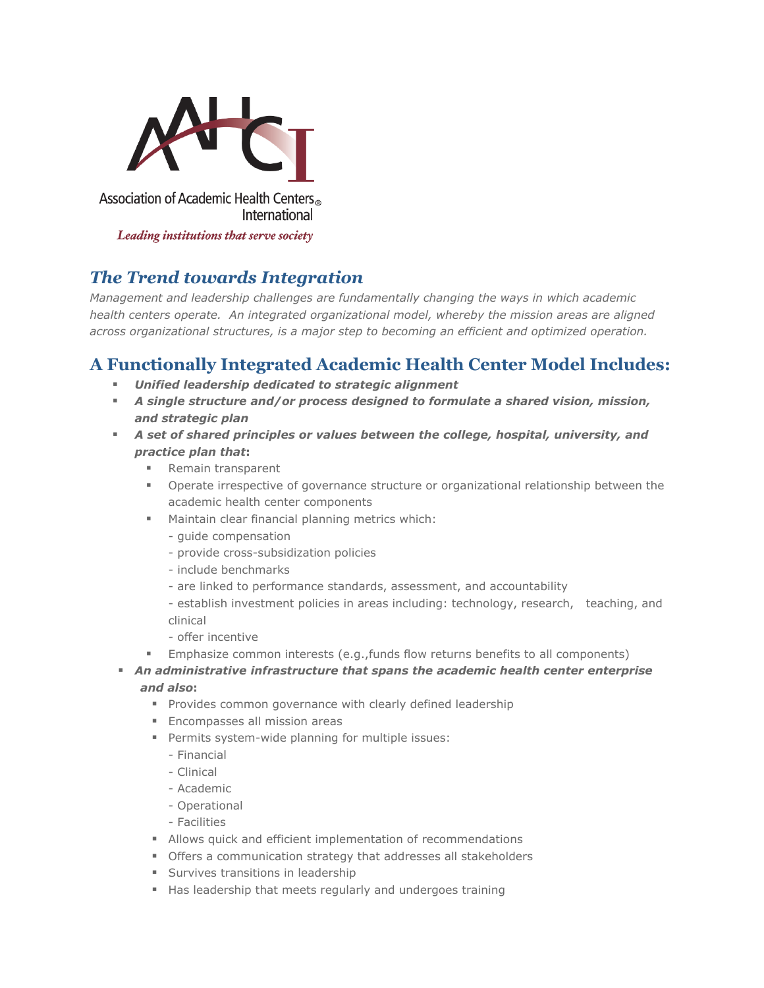

Leading institutions that serve society

## *The Trend towards Integration*

*Management and leadership challenges are fundamentally changing the ways in which academic health centers operate. An integrated organizational model, whereby the mission areas are aligned across organizational structures, is a major step to becoming an efficient and optimized operation.*

## **A Functionally Integrated Academic Health Center Model Includes:**

- *Unified leadership dedicated to strategic alignment*
- *A single structure and/or process designed to formulate a shared vision, mission, and strategic plan*
- *A set of shared principles or values between the college, hospital, university, and practice plan that***:**
	- Remain transparent
	- Operate irrespective of governance structure or organizational relationship between the academic health center components
	- Maintain clear financial planning metrics which:
		- guide compensation
		- provide cross-subsidization policies
		- include benchmarks
		- are linked to performance standards, assessment, and accountability
		- establish investment policies in areas including: technology, research, teaching, and clinical
		- offer incentive
	- Emphasize common interests (e.g.,funds flow returns benefits to all components)
- *An administrative infrastructure that spans the academic health center enterprise*
	- *and also***:**
		- **Provides common governance with clearly defined leadership**
		- **Encompasses all mission areas**
		- **Permits system-wide planning for multiple issues:** 
			- Financial
			- Clinical
			- Academic
			- Operational
			- Facilities
		- Allows quick and efficient implementation of recommendations
		- Offers a communication strategy that addresses all stakeholders
		- **Survives transitions in leadership**
		- Has leadership that meets regularly and undergoes training